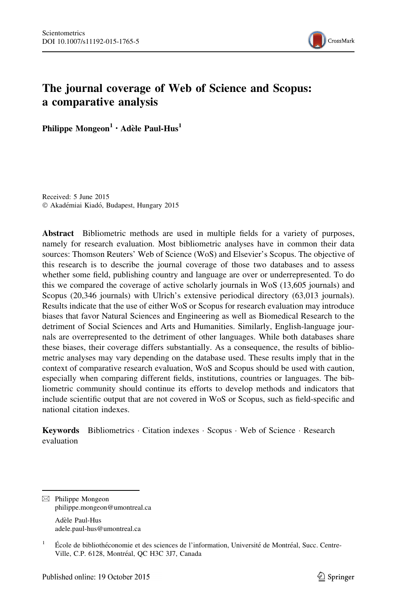

# The journal coverage of Web of Science and Scopus: a comparative analysis

Philippe Mongeon<sup>1</sup> · Adèle Paul-Hus<sup>1</sup>

Received: 5 June 2015 © Akadémiai Kiadó, Budapest, Hungary 2015

Abstract Bibliometric methods are used in multiple fields for a variety of purposes, namely for research evaluation. Most bibliometric analyses have in common their data sources: Thomson Reuters' Web of Science (WoS) and Elsevier's Scopus. The objective of this research is to describe the journal coverage of those two databases and to assess whether some field, publishing country and language are over or underrepresented. To do this we compared the coverage of active scholarly journals in WoS (13,605 journals) and Scopus (20,346 journals) with Ulrich's extensive periodical directory (63,013 journals). Results indicate that the use of either WoS or Scopus for research evaluation may introduce biases that favor Natural Sciences and Engineering as well as Biomedical Research to the detriment of Social Sciences and Arts and Humanities. Similarly, English-language journals are overrepresented to the detriment of other languages. While both databases share these biases, their coverage differs substantially. As a consequence, the results of bibliometric analyses may vary depending on the database used. These results imply that in the context of comparative research evaluation, WoS and Scopus should be used with caution, especially when comparing different fields, institutions, countries or languages. The bibliometric community should continue its efforts to develop methods and indicators that include scientific output that are not covered in WoS or Scopus, such as field-specific and national citation indexes.

Keywords Bibliometrics Citation indexes · Scopus · Web of Science · Research evaluation

 $\boxtimes$  Philippe Mongeon philippe.mongeon@umontreal.ca

Adèle Paul-Hus adele.paul-hus@umontreal.ca

<sup>&</sup>lt;sup>1</sup> École de bibliothéconomie et des sciences de l'information, Université de Montréal, Succ. Centre-Ville, C.P. 6128, Montréal, QC H3C 3J7, Canada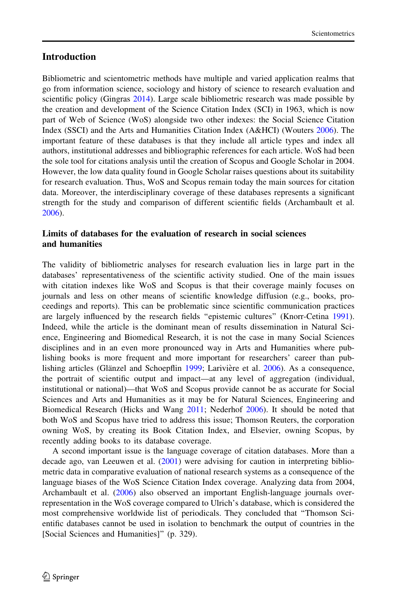### **Introduction**

Bibliometric and scientometric methods have multiple and varied application realms that go from information science, sociology and history of science to research evaluation and scientific policy (Gingras [2014](#page-14-0)). Large scale bibliometric research was made possible by the creation and development of the Science Citation Index (SCI) in 1963, which is now part of Web of Science (WoS) alongside two other indexes: the Social Science Citation Index (SSCI) and the Arts and Humanities Citation Index (A&HCI) (Wouters [2006](#page-15-0)). The important feature of these databases is that they include all article types and index all authors, institutional addresses and bibliographic references for each article. WoS had been the sole tool for citations analysis until the creation of Scopus and Google Scholar in 2004. However, the low data quality found in Google Scholar raises questions about its suitability for research evaluation. Thus, WoS and Scopus remain today the main sources for citation data. Moreover, the interdisciplinary coverage of these databases represents a significant strength for the study and comparison of different scientific fields (Archambault et al. [2006\)](#page-14-0).

# Limits of databases for the evaluation of research in social sciences and humanities

The validity of bibliometric analyses for research evaluation lies in large part in the databases' representativeness of the scientific activity studied. One of the main issues with citation indexes like WoS and Scopus is that their coverage mainly focuses on journals and less on other means of scientific knowledge diffusion (e.g., books, proceedings and reports). This can be problematic since scientific communication practices are largely influenced by the research fields ''epistemic cultures'' (Knorr-Cetina [1991](#page-14-0)). Indeed, while the article is the dominant mean of results dissemination in Natural Science, Engineering and Biomedical Research, it is not the case in many Social Sciences disciplines and in an even more pronounced way in Arts and Humanities where publishing books is more frequent and more important for researchers' career than pub-lishing articles (Glänzel and Schoepflin [1999;](#page-14-0) Larivière et al. [2006\)](#page-14-0). As a consequence, the portrait of scientific output and impact—at any level of aggregation (individual, institutional or national)—that WoS and Scopus provide cannot be as accurate for Social Sciences and Arts and Humanities as it may be for Natural Sciences, Engineering and Biomedical Research (Hicks and Wang [2011](#page-14-0); Nederhof [2006\)](#page-14-0). It should be noted that both WoS and Scopus have tried to address this issue; Thomson Reuters, the corporation owning WoS, by creating its Book Citation Index, and Elsevier, owning Scopus, by recently adding books to its database coverage.

A second important issue is the language coverage of citation databases. More than a decade ago, van Leeuwen et al. ([2001\)](#page-15-0) were advising for caution in interpreting bibliometric data in comparative evaluation of national research systems as a consequence of the language biases of the WoS Science Citation Index coverage. Analyzing data from 2004, Archambault et al. [\(2006](#page-14-0)) also observed an important English-language journals overrepresentation in the WoS coverage compared to Ulrich's database, which is considered the most comprehensive worldwide list of periodicals. They concluded that ''Thomson Scientific databases cannot be used in isolation to benchmark the output of countries in the [Social Sciences and Humanities]'' (p. 329).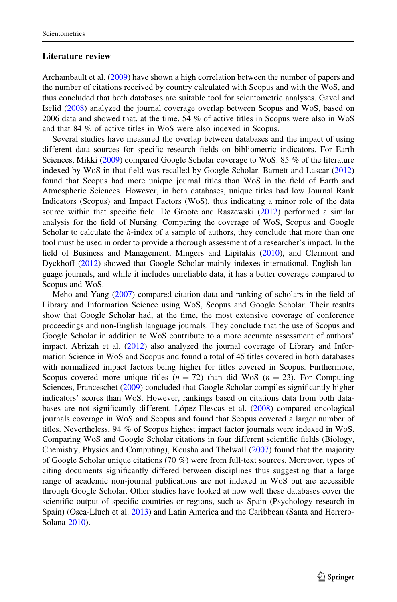#### Literature review

Archambault et al. [\(2009](#page-14-0)) have shown a high correlation between the number of papers and the number of citations received by country calculated with Scopus and with the WoS, and thus concluded that both databases are suitable tool for scientometric analyses. Gavel and Iselid [\(2008](#page-14-0)) analyzed the journal coverage overlap between Scopus and WoS, based on 2006 data and showed that, at the time, 54 % of active titles in Scopus were also in WoS and that 84 % of active titles in WoS were also indexed in Scopus.

Several studies have measured the overlap between databases and the impact of using different data sources for specific research fields on bibliometric indicators. For Earth Sciences, Mikki ([2009\)](#page-14-0) compared Google Scholar coverage to WoS: 85 % of the literature indexed by WoS in that field was recalled by Google Scholar. Barnett and Lascar ([2012](#page-14-0)) found that Scopus had more unique journal titles than WoS in the field of Earth and Atmospheric Sciences. However, in both databases, unique titles had low Journal Rank Indicators (Scopus) and Impact Factors (WoS), thus indicating a minor role of the data source within that specific field. De Groote and Raszewski ([2012](#page-14-0)) performed a similar analysis for the field of Nursing. Comparing the coverage of WoS, Scopus and Google Scholar to calculate the  $h$ -index of a sample of authors, they conclude that more than one tool must be used in order to provide a thorough assessment of a researcher's impact. In the field of Business and Management, Mingers and Lipitakis ([2010\)](#page-14-0), and Clermont and Dyckhoff ([2012\)](#page-14-0) showed that Google Scholar mainly indexes international, English-language journals, and while it includes unreliable data, it has a better coverage compared to Scopus and WoS.

Meho and Yang [\(2007](#page-14-0)) compared citation data and ranking of scholars in the field of Library and Information Science using WoS, Scopus and Google Scholar. Their results show that Google Scholar had, at the time, the most extensive coverage of conference proceedings and non-English language journals. They conclude that the use of Scopus and Google Scholar in addition to WoS contribute to a more accurate assessment of authors' impact. Abrizah et al. ([2012\)](#page-14-0) also analyzed the journal coverage of Library and Information Science in WoS and Scopus and found a total of 45 titles covered in both databases with normalized impact factors being higher for titles covered in Scopus. Furthermore, Scopus covered more unique titles ( $n = 72$ ) than did WoS ( $n = 23$ ). For Computing Sciences, Franceschet [\(2009](#page-14-0)) concluded that Google Scholar compiles significantly higher indicators' scores than WoS. However, rankings based on citations data from both data-bases are not significantly different. López-Illescas et al. ([2008](#page-14-0)) compared oncological journals coverage in WoS and Scopus and found that Scopus covered a larger number of titles. Nevertheless, 94 % of Scopus highest impact factor journals were indexed in WoS. Comparing WoS and Google Scholar citations in four different scientific fields (Biology, Chemistry, Physics and Computing), Kousha and Thelwall ([2007\)](#page-14-0) found that the majority of Google Scholar unique citations (70 %) were from full-text sources. Moreover, types of citing documents significantly differed between disciplines thus suggesting that a large range of academic non-journal publications are not indexed in WoS but are accessible through Google Scholar. Other studies have looked at how well these databases cover the scientific output of specific countries or regions, such as Spain (Psychology research in Spain) (Osca-Lluch et al. [2013](#page-15-0)) and Latin America and the Caribbean (Santa and Herrero-Solana [2010\)](#page-15-0).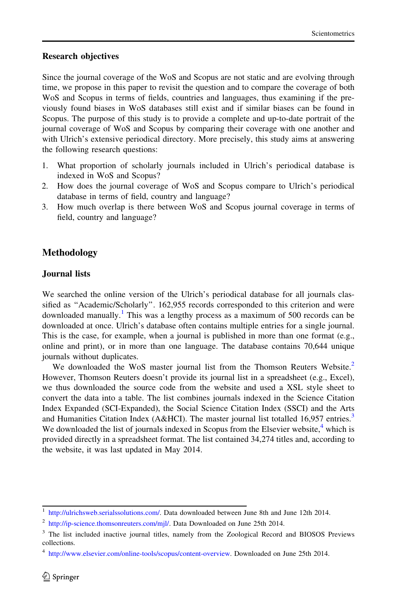#### Research objectives

Since the journal coverage of the WoS and Scopus are not static and are evolving through time, we propose in this paper to revisit the question and to compare the coverage of both WoS and Scopus in terms of fields, countries and languages, thus examining if the previously found biases in WoS databases still exist and if similar biases can be found in Scopus. The purpose of this study is to provide a complete and up-to-date portrait of the journal coverage of WoS and Scopus by comparing their coverage with one another and with Ulrich's extensive periodical directory. More precisely, this study aims at answering the following research questions:

- 1. What proportion of scholarly journals included in Ulrich's periodical database is indexed in WoS and Scopus?
- 2. How does the journal coverage of WoS and Scopus compare to Ulrich's periodical database in terms of field, country and language?
- 3. How much overlap is there between WoS and Scopus journal coverage in terms of field, country and language?

### Methodology

#### Journal lists

We searched the online version of the Ulrich's periodical database for all journals classified as ''Academic/Scholarly''. 162,955 records corresponded to this criterion and were downloaded manually.<sup>1</sup> This was a lengthy process as a maximum of 500 records can be downloaded at once. Ulrich's database often contains multiple entries for a single journal. This is the case, for example, when a journal is published in more than one format (e.g., online and print), or in more than one language. The database contains 70,644 unique journals without duplicates.

We downloaded the WoS master journal list from the Thomson Reuters Website.<sup>2</sup> However, Thomson Reuters doesn't provide its journal list in a spreadsheet (e.g., Excel), we thus downloaded the source code from the website and used a XSL style sheet to convert the data into a table. The list combines journals indexed in the Science Citation Index Expanded (SCI-Expanded), the Social Science Citation Index (SSCI) and the Arts and Humanities Citation Index (A&HCI). The master journal list totalled 16,957 entries.<sup>3</sup> We downloaded the list of journals indexed in Scopus from the Elsevier website, $4$  which is provided directly in a spreadsheet format. The list contained 34,274 titles and, according to the website, it was last updated in May 2014.

<sup>1</sup> [http://ulrichsweb.serialssolutions.com/.](http://ulrichsweb.serialssolutions.com/) Data downloaded between June 8th and June 12th 2014.

<sup>&</sup>lt;sup>2</sup> <http://ip-science.thomsonreuters.com/mjl/>. Data Downloaded on June 25th 2014.

<sup>&</sup>lt;sup>3</sup> The list included inactive journal titles, namely from the Zoological Record and BIOSOS Previews collections.

<sup>4</sup> [http://www.elsevier.com/online-tools/scopus/content-overview.](http://www.elsevier.com/online-tools/scopus/content-overview) Downloaded on June 25th 2014.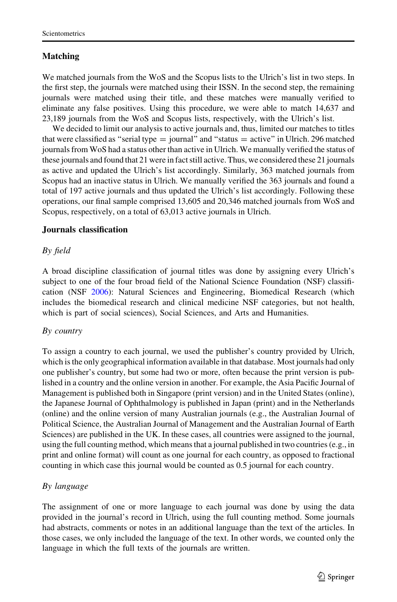### Matching

We matched journals from the WoS and the Scopus lists to the Ulrich's list in two steps. In the first step, the journals were matched using their ISSN. In the second step, the remaining journals were matched using their title, and these matches were manually verified to eliminate any false positives. Using this procedure, we were able to match 14,637 and 23,189 journals from the WoS and Scopus lists, respectively, with the Ulrich's list.

We decided to limit our analysis to active journals and, thus, limited our matches to titles that were classified as "serial type  $=$  journal" and "status  $=$  active" in Ulrich. 296 matched journals from WoS had a status other than active in Ulrich. We manually verified the status of these journals and found that 21 were in fact still active. Thus, we considered these 21 journals as active and updated the Ulrich's list accordingly. Similarly, 363 matched journals from Scopus had an inactive status in Ulrich. We manually verified the 363 journals and found a total of 197 active journals and thus updated the Ulrich's list accordingly. Following these operations, our final sample comprised 13,605 and 20,346 matched journals from WoS and Scopus, respectively, on a total of 63,013 active journals in Ulrich.

#### Journals classification

#### By field

A broad discipline classification of journal titles was done by assigning every Ulrich's subject to one of the four broad field of the National Science Foundation (NSF) classification (NSF [2006](#page-14-0)): Natural Sciences and Engineering, Biomedical Research (which includes the biomedical research and clinical medicine NSF categories, but not health, which is part of social sciences), Social Sciences, and Arts and Humanities.

#### By country

To assign a country to each journal, we used the publisher's country provided by Ulrich, which is the only geographical information available in that database. Most journals had only one publisher's country, but some had two or more, often because the print version is published in a country and the online version in another. For example, the Asia Pacific Journal of Management is published both in Singapore (print version) and in the United States (online), the Japanese Journal of Ophthalmology is published in Japan (print) and in the Netherlands (online) and the online version of many Australian journals (e.g., the Australian Journal of Political Science, the Australian Journal of Management and the Australian Journal of Earth Sciences) are published in the UK. In these cases, all countries were assigned to the journal, using the full counting method, which means that a journal published in two countries (e.g., in print and online format) will count as one journal for each country, as opposed to fractional counting in which case this journal would be counted as 0.5 journal for each country.

### By language

The assignment of one or more language to each journal was done by using the data provided in the journal's record in Ulrich, using the full counting method. Some journals had abstracts, comments or notes in an additional language than the text of the articles. In those cases, we only included the language of the text. In other words, we counted only the language in which the full texts of the journals are written.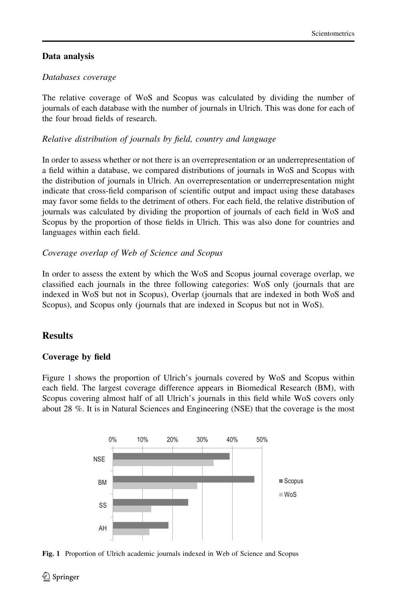# Data analysis

# Databases coverage

The relative coverage of WoS and Scopus was calculated by dividing the number of journals of each database with the number of journals in Ulrich. This was done for each of the four broad fields of research.

# Relative distribution of journals by field, country and language

In order to assess whether or not there is an overrepresentation or an underrepresentation of a field within a database, we compared distributions of journals in WoS and Scopus with the distribution of journals in Ulrich. An overrepresentation or underrepresentation might indicate that cross-field comparison of scientific output and impact using these databases may favor some fields to the detriment of others. For each field, the relative distribution of journals was calculated by dividing the proportion of journals of each field in WoS and Scopus by the proportion of those fields in Ulrich. This was also done for countries and languages within each field.

### Coverage overlap of Web of Science and Scopus

In order to assess the extent by which the WoS and Scopus journal coverage overlap, we classified each journals in the three following categories: WoS only (journals that are indexed in WoS but not in Scopus), Overlap (journals that are indexed in both WoS and Scopus), and Scopus only (journals that are indexed in Scopus but not in WoS).

# **Results**

# Coverage by field

Figure 1 shows the proportion of Ulrich's journals covered by WoS and Scopus within each field. The largest coverage difference appears in Biomedical Research (BM), with Scopus covering almost half of all Ulrich's journals in this field while WoS covers only about 28 %. It is in Natural Sciences and Engineering (NSE) that the coverage is the most



Fig. 1 Proportion of Ulrich academic journals indexed in Web of Science and Scopus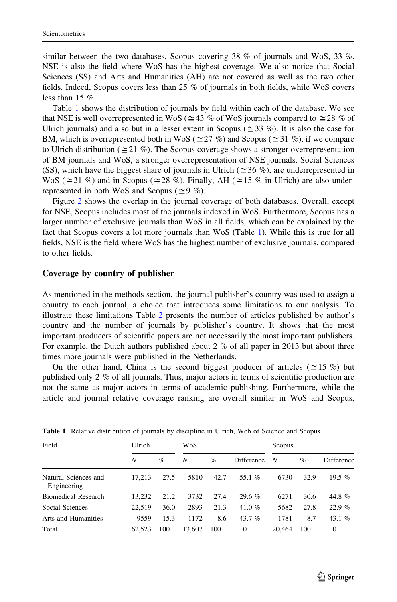<span id="page-6-0"></span>similar between the two databases, Scopus covering  $38\%$  of journals and WoS,  $33\%$ . NSE is also the field where WoS has the highest coverage. We also notice that Social Sciences (SS) and Arts and Humanities (AH) are not covered as well as the two other fields. Indeed, Scopus covers less than 25 % of journals in both fields, while WoS covers less than  $15\%$ .

Table 1 shows the distribution of journals by field within each of the database. We see that NSE is well overrepresented in WoS ( $\approx$  43 % of WoS journals compared to  $\approx$  28 % of Ulrich journals) and also but in a lesser extent in Scopus ( $\approx$  33 %). It is also the case for BM, which is overrepresented both in WoS ( $\approx$  27 %) and Scopus ( $\approx$  31 %), if we compare to Ulrich distribution ( $\approx$  21 %). The Scopus coverage shows a stronger overrepresentation of BM journals and WoS, a stronger overrepresentation of NSE journals. Social Sciences (SS), which have the biggest share of journals in Ulrich ( $\approx$  36 %), are underrepresented in WoS ( $\cong$ 21 %) and in Scopus ( $\cong$ 28 %). Finally, AH ( $\cong$ 15 % in Ulrich) are also underrepresented in both WoS and Scopus ( $\approx 9$  %).

Figure [2](#page-7-0) shows the overlap in the journal coverage of both databases. Overall, except for NSE, Scopus includes most of the journals indexed in WoS. Furthermore, Scopus has a larger number of exclusive journals than WoS in all fields, which can be explained by the fact that Scopus covers a lot more journals than WoS (Table 1). While this is true for all fields, NSE is the field where WoS has the highest number of exclusive journals, compared to other fields.

#### Coverage by country of publisher

As mentioned in the methods section, the journal publisher's country was used to assign a country to each journal, a choice that introduces some limitations to our analysis. To illustrate these limitations Table [2](#page-7-0) presents the number of articles published by author's country and the number of journals by publisher's country. It shows that the most important producers of scientific papers are not necessarily the most important publishers. For example, the Dutch authors published about 2 % of all paper in 2013 but about three times more journals were published in the Netherlands.

On the other hand, China is the second biggest producer of articles ( $\approx$  15 %) but published only 2 % of all journals. Thus, major actors in terms of scientific production are not the same as major actors in terms of academic publishing. Furthermore, while the article and journal relative coverage ranking are overall similar in WoS and Scopus,

| Field                               | Ulrich |      | WoS    |      |              | Scopus |      |            |  |
|-------------------------------------|--------|------|--------|------|--------------|--------|------|------------|--|
|                                     | N      | $\%$ | N      | $\%$ | Difference   | N      | $\%$ | Difference |  |
| Natural Sciences and<br>Engineering | 17.213 | 27.5 | 5810   | 42.7 | 55.1%        | 6730   | 32.9 | 19.5 $%$   |  |
| <b>Biomedical Research</b>          | 13.232 | 21.2 | 3732   | 27.4 | 29.6%        | 6271   | 30.6 | 44.8%      |  |
| Social Sciences                     | 22.519 | 36.0 | 2893   | 21.3 | $-41.0 \%$   | 5682   | 27.8 | $-22.9 \%$ |  |
| Arts and Humanities                 | 9559   | 15.3 | 1172   | 8.6  | $-43.7\%$    | 1781   | 8.7  | $-43.1%$   |  |
| Total                               | 62.523 | 100  | 13,607 | 100  | $\mathbf{0}$ | 20,464 | 100  | $\Omega$   |  |

Table 1 Relative distribution of journals by discipline in Ulrich, Web of Science and Scopus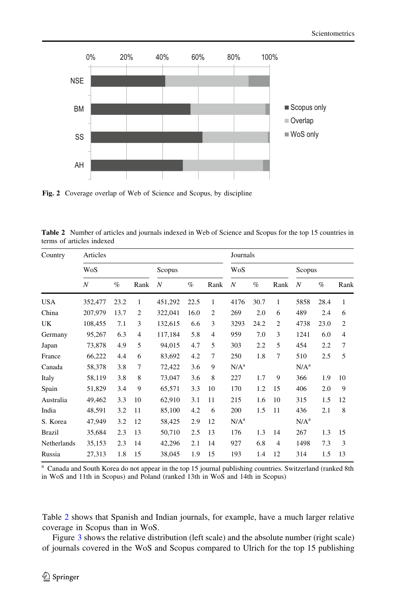<span id="page-7-0"></span>

Fig. 2 Coverage overlap of Web of Science and Scopus, by discipline

| <b>Table 2</b> Number of articles and journals indexed in Web of Science and Scopus for the top 15 countries in |  |  |
|-----------------------------------------------------------------------------------------------------------------|--|--|
| terms of articles indexed                                                                                       |  |  |

| Country       | Articles         |      |                |                |      |                | Journals         |      |                |                  |      |      |  |
|---------------|------------------|------|----------------|----------------|------|----------------|------------------|------|----------------|------------------|------|------|--|
|               | WoS              |      |                | Scopus         |      |                | WoS              |      |                | Scopus           |      |      |  |
|               | $\boldsymbol{N}$ | $\%$ | Rank           | $\overline{N}$ | $\%$ | Rank           | $\overline{N}$   | $\%$ | Rank           | $\boldsymbol{N}$ | $\%$ | Rank |  |
| <b>USA</b>    | 352,477          | 23.2 | 1              | 451,292        | 22.5 | 1              | 4176             | 30.7 | 1              | 5858             | 28.4 | 1    |  |
| China         | 207,979          | 13.7 | 2              | 322,041        | 16.0 | $\overline{c}$ | 269              | 2.0  | 6              | 489              | 2.4  | 6    |  |
| UK            | 108,455          | 7.1  | 3              | 132,615        | 6.6  | 3              | 3293             | 24.2 | $\overline{c}$ | 4738             | 23.0 | 2    |  |
| Germany       | 95,267           | 6.3  | $\overline{4}$ | 117,184        | 5.8  | 4              | 959              | 7.0  | 3              | 1241             | 6.0  | 4    |  |
| Japan         | 73,878           | 4.9  | 5              | 94,015         | 4.7  | 5              | 303              | 2.2  | 5              | 454              | 2.2  | 7    |  |
| France        | 66,222           | 4.4  | 6              | 83,692         | 4.2  | 7              | 250              | 1.8  | 7              | 510              | 2.5  | 5    |  |
| Canada        | 58,378           | 3.8  | 7              | 72,422         | 3.6  | 9              | N/A <sup>a</sup> |      |                | N/A <sup>a</sup> |      |      |  |
| Italy         | 58,119           | 3.8  | 8              | 73,047         | 3.6  | 8              | 227              | 1.7  | 9              | 366              | 1.9  | 10   |  |
| Spain         | 51,829           | 3.4  | 9              | 65,571         | 3.3  | 10             | 170              | 1.2  | 15             | 406              | 2.0  | 9    |  |
| Australia     | 49,462           | 3.3  | 10             | 62,910         | 3.1  | 11             | 215              | 1.6  | 10             | 315              | 1.5  | 12   |  |
| India         | 48,591           | 3.2  | 11             | 85,100         | 4.2  | 6              | 200              | 1.5  | 11             | 436              | 2.1  | 8    |  |
| S. Korea      | 47,949           | 3.2  | 12             | 58,425         | 2.9  | 12             | N/A <sup>a</sup> |      |                | N/A <sup>a</sup> |      |      |  |
| <b>Brazil</b> | 35,684           | 2.3  | 13             | 50,710         | 2.5  | 13             | 176              | 1.3  | 14             | 267              | 1.3  | 15   |  |
| Netherlands   | 35,153           | 2.3  | 14             | 42,296         | 2.1  | 14             | 927              | 6.8  | $\overline{4}$ | 1498             | 7.3  | 3    |  |
| Russia        | 27,313           | 1.8  | 15             | 38,045         | 1.9  | 15             | 193              | 1.4  | 12             | 314              | 1.5  | 13   |  |

<sup>a</sup> Canada and South Korea do not appear in the top 15 journal publishing countries. Switzerland (ranked 8th in WoS and 11th in Scopus) and Poland (ranked 13th in WoS and 14th in Scopus)

Table 2 shows that Spanish and Indian journals, for example, have a much larger relative coverage in Scopus than in WoS.

Figure [3](#page-8-0) shows the relative distribution (left scale) and the absolute number (right scale) of journals covered in the WoS and Scopus compared to Ulrich for the top 15 publishing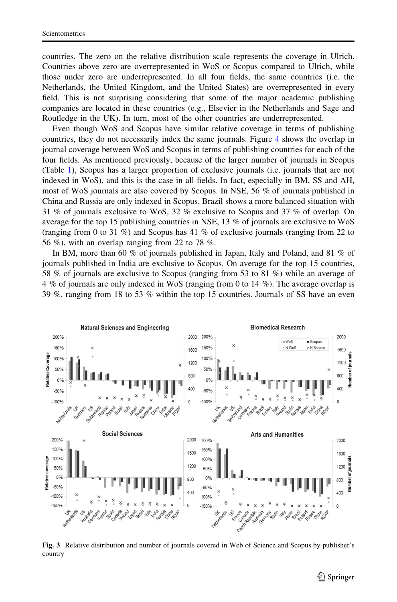<span id="page-8-0"></span>countries. The zero on the relative distribution scale represents the coverage in Ulrich. Countries above zero are overrepresented in WoS or Scopus compared to Ulrich, while those under zero are underrepresented. In all four fields, the same countries (i.e. the Netherlands, the United Kingdom, and the United States) are overrepresented in every field. This is not surprising considering that some of the major academic publishing companies are located in these countries (e.g., Elsevier in the Netherlands and Sage and Routledge in the UK). In turn, most of the other countries are underrepresented.

Even though WoS and Scopus have similar relative coverage in terms of publishing countries, they do not necessarily index the same journals. Figure [4](#page-9-0) shows the overlap in journal coverage between WoS and Scopus in terms of publishing countries for each of the four fields. As mentioned previously, because of the larger number of journals in Scopus (Table [1](#page-6-0)), Scopus has a larger proportion of exclusive journals (i.e. journals that are not indexed in WoS), and this is the case in all fields. In fact, especially in BM, SS and AH, most of WoS journals are also covered by Scopus. In NSE, 56 % of journals published in China and Russia are only indexed in Scopus. Brazil shows a more balanced situation with 31 % of journals exclusive to WoS, 32 % exclusive to Scopus and 37 % of overlap. On average for the top 15 publishing countries in NSE, 13 % of journals are exclusive to WoS (ranging from 0 to 31  $\%$ ) and Scopus has 41  $\%$  of exclusive journals (ranging from 22 to 56 %), with an overlap ranging from 22 to 78 %.

In BM, more than 60 % of journals published in Japan, Italy and Poland, and 81 % of journals published in India are exclusive to Scopus. On average for the top 15 countries, 58 % of journals are exclusive to Scopus (ranging from 53 to 81 %) while an average of 4 % of journals are only indexed in WoS (ranging from 0 to 14 %). The average overlap is 39 %, ranging from 18 to 53 % within the top 15 countries. Journals of SS have an even



Fig. 3 Relative distribution and number of journals covered in Web of Science and Scopus by publisher's country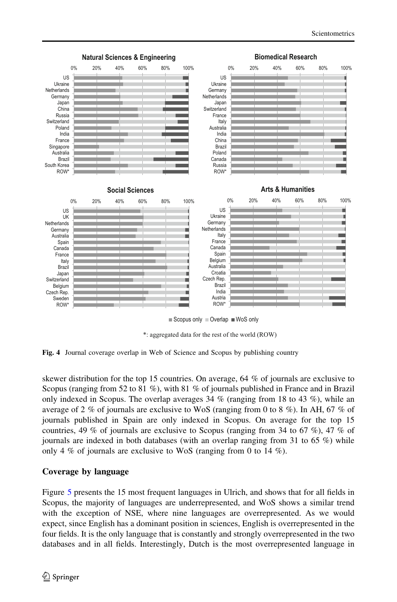<span id="page-9-0"></span>

\*: aggregated data for the rest of the world (ROW)

Fig. 4 Journal coverage overlap in Web of Science and Scopus by publishing country

skewer distribution for the top 15 countries. On average, 64 % of journals are exclusive to Scopus (ranging from 52 to 81 %), with 81 % of journals published in France and in Brazil only indexed in Scopus. The overlap averages  $34\%$  (ranging from 18 to  $43\%$ ), while an average of 2 % of journals are exclusive to WoS (ranging from 0 to 8 %). In AH, 67 % of journals published in Spain are only indexed in Scopus. On average for the top 15 countries, 49 % of journals are exclusive to Scopus (ranging from 34 to 67 %), 47 % of journals are indexed in both databases (with an overlap ranging from 31 to 65 %) while only 4 % of journals are exclusive to WoS (ranging from 0 to 14 %).

#### Coverage by language

Figure [5](#page-10-0) presents the 15 most frequent languages in Ulrich, and shows that for all fields in Scopus, the majority of languages are underrepresented, and WoS shows a similar trend with the exception of NSE, where nine languages are overrepresented. As we would expect, since English has a dominant position in sciences, English is overrepresented in the four fields. It is the only language that is constantly and strongly overrepresented in the two databases and in all fields. Interestingly, Dutch is the most overrepresented language in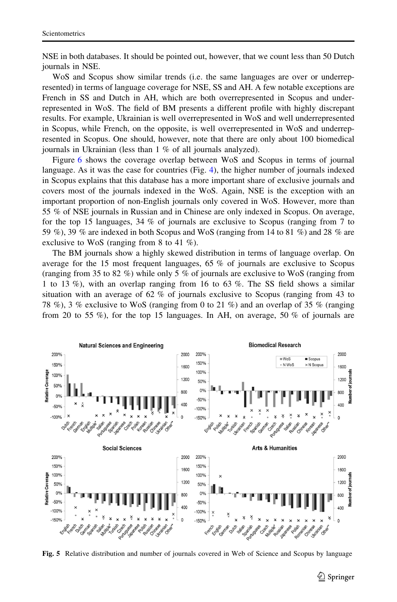<span id="page-10-0"></span>NSE in both databases. It should be pointed out, however, that we count less than 50 Dutch journals in NSE.

WoS and Scopus show similar trends (i.e. the same languages are over or underrepresented) in terms of language coverage for NSE, SS and AH. A few notable exceptions are French in SS and Dutch in AH, which are both overrepresented in Scopus and underrepresented in WoS. The field of BM presents a different profile with highly discrepant results. For example, Ukrainian is well overrepresented in WoS and well underrepresented in Scopus, while French, on the opposite, is well overrepresented in WoS and underrepresented in Scopus. One should, however, note that there are only about 100 biomedical journals in Ukrainian (less than 1 % of all journals analyzed).

Figure [6](#page-11-0) shows the coverage overlap between WoS and Scopus in terms of journal language. As it was the case for countries (Fig. [4\)](#page-9-0), the higher number of journals indexed in Scopus explains that this database has a more important share of exclusive journals and covers most of the journals indexed in the WoS. Again, NSE is the exception with an important proportion of non-English journals only covered in WoS. However, more than 55 % of NSE journals in Russian and in Chinese are only indexed in Scopus. On average, for the top 15 languages, 34 % of journals are exclusive to Scopus (ranging from 7 to 59 %), 39 % are indexed in both Scopus and WoS (ranging from 14 to 81 %) and 28 % are exclusive to WoS (ranging from 8 to 41 %).

The BM journals show a highly skewed distribution in terms of language overlap. On average for the 15 most frequent languages, 65 % of journals are exclusive to Scopus (ranging from 35 to 82 %) while only 5 % of journals are exclusive to WoS (ranging from 1 to 13 %), with an overlap ranging from 16 to 63 %. The SS field shows a similar situation with an average of 62 % of journals exclusive to Scopus (ranging from 43 to 78 %), 3 % exclusive to WoS (ranging from 0 to 21 %) and an overlap of 35 % (ranging from 20 to 55 %), for the top 15 languages. In AH, on average, 50 % of journals are



Fig. 5 Relative distribution and number of journals covered in Web of Science and Scopus by language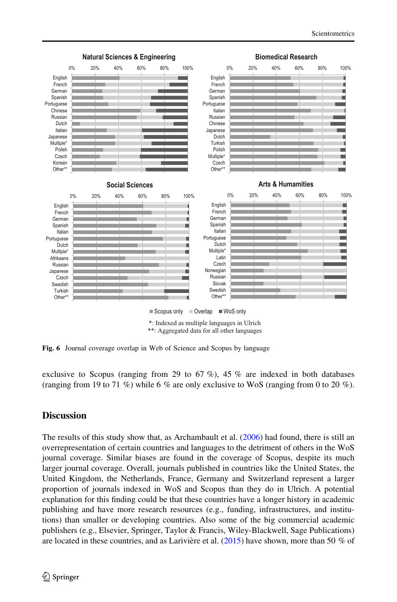<span id="page-11-0"></span>

Fig. 6 Journal coverage overlap in Web of Science and Scopus by language

exclusive to Scopus (ranging from 29 to 67 %), 45 % are indexed in both databases (ranging from 19 to 71 %) while 6 % are only exclusive to WoS (ranging from 0 to 20 %).

### **Discussion**

The results of this study show that, as Archambault et al. ([2006\)](#page-14-0) had found, there is still an overrepresentation of certain countries and languages to the detriment of others in the WoS journal coverage. Similar biases are found in the coverage of Scopus, despite its much larger journal coverage. Overall, journals published in countries like the United States, the United Kingdom, the Netherlands, France, Germany and Switzerland represent a larger proportion of journals indexed in WoS and Scopus than they do in Ulrich. A potential explanation for this finding could be that these countries have a longer history in academic publishing and have more research resources (e.g., funding, infrastructures, and institutions) than smaller or developing countries. Also some of the big commercial academic publishers (e.g., Elsevier, Springer, Taylor & Francis, Wiley-Blackwell, Sage Publications) are located in these countries, and as Larivière et al.  $(2015)$  have shown, more than 50 % of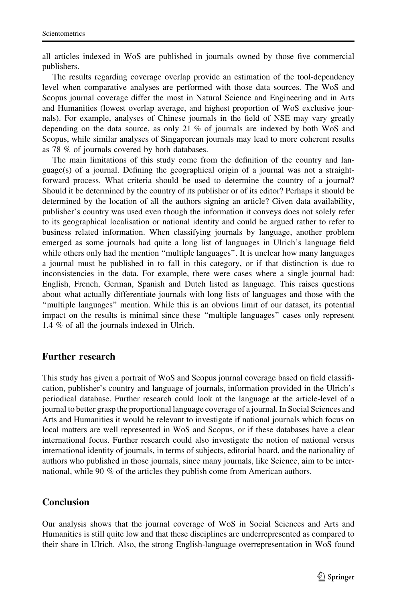all articles indexed in WoS are published in journals owned by those five commercial publishers.

The results regarding coverage overlap provide an estimation of the tool-dependency level when comparative analyses are performed with those data sources. The WoS and Scopus journal coverage differ the most in Natural Science and Engineering and in Arts and Humanities (lowest overlap average, and highest proportion of WoS exclusive journals). For example, analyses of Chinese journals in the field of NSE may vary greatly depending on the data source, as only 21 % of journals are indexed by both WoS and Scopus, while similar analyses of Singaporean journals may lead to more coherent results as 78 % of journals covered by both databases.

The main limitations of this study come from the definition of the country and language(s) of a journal. Defining the geographical origin of a journal was not a straightforward process. What criteria should be used to determine the country of a journal? Should it be determined by the country of its publisher or of its editor? Perhaps it should be determined by the location of all the authors signing an article? Given data availability, publisher's country was used even though the information it conveys does not solely refer to its geographical localisation or national identity and could be argued rather to refer to business related information. When classifying journals by language, another problem emerged as some journals had quite a long list of languages in Ulrich's language field while others only had the mention ''multiple languages''. It is unclear how many languages a journal must be published in to fall in this category, or if that distinction is due to inconsistencies in the data. For example, there were cases where a single journal had: English, French, German, Spanish and Dutch listed as language. This raises questions about what actually differentiate journals with long lists of languages and those with the ''multiple languages'' mention. While this is an obvious limit of our dataset, its potential impact on the results is minimal since these ''multiple languages'' cases only represent 1.4 % of all the journals indexed in Ulrich.

### Further research

This study has given a portrait of WoS and Scopus journal coverage based on field classification, publisher's country and language of journals, information provided in the Ulrich's periodical database. Further research could look at the language at the article-level of a journal to better grasp the proportional language coverage of a journal. In Social Sciences and Arts and Humanities it would be relevant to investigate if national journals which focus on local matters are well represented in WoS and Scopus, or if these databases have a clear international focus. Further research could also investigate the notion of national versus international identity of journals, in terms of subjects, editorial board, and the nationality of authors who published in those journals, since many journals, like Science, aim to be international, while 90 % of the articles they publish come from American authors.

### Conclusion

Our analysis shows that the journal coverage of WoS in Social Sciences and Arts and Humanities is still quite low and that these disciplines are underrepresented as compared to their share in Ulrich. Also, the strong English-language overrepresentation in WoS found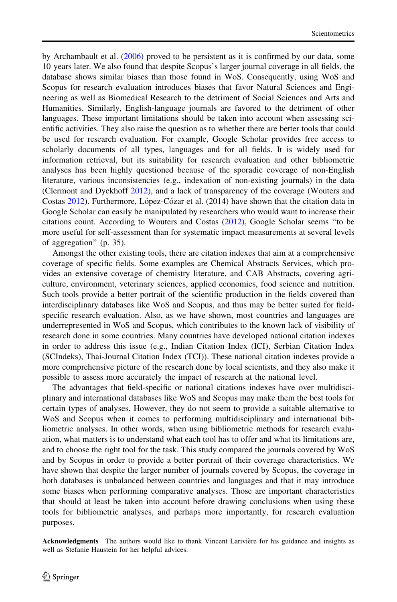by Archambault et al. [\(2006](#page-14-0)) proved to be persistent as it is confirmed by our data, some 10 years later. We also found that despite Scopus's larger journal coverage in all fields, the database shows similar biases than those found in WoS. Consequently, using WoS and Scopus for research evaluation introduces biases that favor Natural Sciences and Engineering as well as Biomedical Research to the detriment of Social Sciences and Arts and Humanities. Similarly, English-language journals are favored to the detriment of other languages. These important limitations should be taken into account when assessing scientific activities. They also raise the question as to whether there are better tools that could be used for research evaluation. For example, Google Scholar provides free access to scholarly documents of all types, languages and for all fields. It is widely used for information retrieval, but its suitability for research evaluation and other bibliometric analyses has been highly questioned because of the sporadic coverage of non-English literature, various inconsistencies (e.g., indexation of non-existing journals) in the data (Clermont and Dyckhoff [2012\)](#page-14-0), and a lack of transparency of the coverage (Wouters and Costas [2012\)](#page-15-0). Furthermore, López-Cózar et al. (2014) have shown that the citation data in Google Scholar can easily be manipulated by researchers who would want to increase their citations count. According to Wouters and Costas ([2012\)](#page-15-0), Google Scholar seems ''to be more useful for self-assessment than for systematic impact measurements at several levels of aggregation'' (p. 35).

Amongst the other existing tools, there are citation indexes that aim at a comprehensive coverage of specific fields. Some examples are Chemical Abstracts Services, which provides an extensive coverage of chemistry literature, and CAB Abstracts, covering agriculture, environment, veterinary sciences, applied economics, food science and nutrition. Such tools provide a better portrait of the scientific production in the fields covered than interdisciplinary databases like WoS and Scopus, and thus may be better suited for fieldspecific research evaluation. Also, as we have shown, most countries and languages are underrepresented in WoS and Scopus, which contributes to the known lack of visibility of research done in some countries. Many countries have developed national citation indexes in order to address this issue (e.g., Indian Citation Index (ICI), Serbian Citation Index (SCIndeks), Thai-Journal Citation Index (TCI)). These national citation indexes provide a more comprehensive picture of the research done by local scientists, and they also make it possible to assess more accurately the impact of research at the national level.

The advantages that field-specific or national citations indexes have over multidisciplinary and international databases like WoS and Scopus may make them the best tools for certain types of analyses. However, they do not seem to provide a suitable alternative to WoS and Scopus when it comes to performing multidisciplinary and international bibliometric analyses. In other words, when using bibliometric methods for research evaluation, what matters is to understand what each tool has to offer and what its limitations are, and to choose the right tool for the task. This study compared the journals covered by WoS and by Scopus in order to provide a better portrait of their coverage characteristics. We have shown that despite the larger number of journals covered by Scopus, the coverage in both databases is unbalanced between countries and languages and that it may introduce some biases when performing comparative analyses. Those are important characteristics that should at least be taken into account before drawing conclusions when using these tools for bibliometric analyses, and perhaps more importantly, for research evaluation purposes.

Acknowledgments The authors would like to thank Vincent Larivière for his guidance and insights as well as Stefanie Haustein for her helpful advices.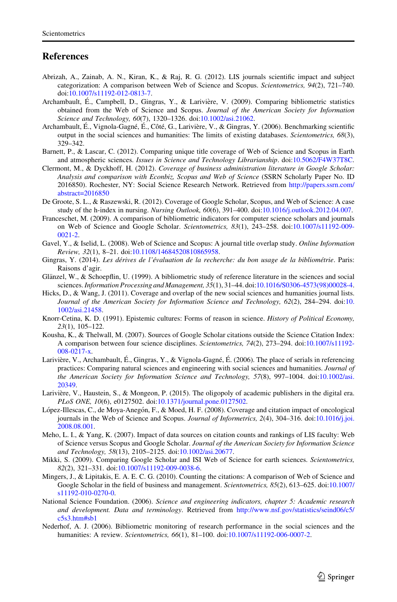#### <span id="page-14-0"></span>**References**

- Abrizah, A., Zainab, A. N., Kiran, K., & Raj, R. G. (2012). LIS journals scientific impact and subject categorization: A comparison between Web of Science and Scopus. Scientometrics, 94(2), 721–740. doi[:10.1007/s11192-012-0813-7.](http://dx.doi.org/10.1007/s11192-012-0813-7)
- Archambault, É., Campbell, D., Gingras, Y., & Larivière, V. (2009). Comparing bibliometric statistics obtained from the Web of Science and Scopus. Journal of the American Society for Information Science and Technology, 60(7), 1320–1326. doi:[10.1002/asi.21062.](http://dx.doi.org/10.1002/asi.21062)
- Archambault, É., Vignola-Gagné, É., Côté, G., Larivière, V., & Gingras, Y. (2006). Benchmarking scientific output in the social sciences and humanities: The limits of existing databases. Scientometrics, 68(3), 329–342.
- Barnett, P., & Lascar, C. (2012). Comparing unique title coverage of Web of Science and Scopus in Earth and atmospheric sciences. Issues in Science and Technology Librarianship. doi[:10.5062/F4W37T8C](http://dx.doi.org/10.5062/F4W37T8C).
- Clermont, M., & Dyckhoff, H. (2012). Coverage of business administration literature in Google Scholar: Analysis and comparison with Econbiz, Scopus and Web of Science (SSRN Scholarly Paper No. ID 2016850). Rochester, NY: Social Science Research Network. Retrieved from [http://papers.ssrn.com/](http://papers.ssrn.com/abstract=2016850) [abstract=2016850](http://papers.ssrn.com/abstract=2016850)
- De Groote, S. L., & Raszewski, R. (2012). Coverage of Google Scholar, Scopus, and Web of Science: A case study of the h-index in nursing. Nursing Outlook, 60(6), 391–400. doi:[10.1016/j.outlook.2012.04.007](http://dx.doi.org/10.1016/j.outlook.2012.04.007).
- Franceschet, M. (2009). A comparison of bibliometric indicators for computer science scholars and journals on Web of Science and Google Scholar. Scientometrics, 83(1), 243–258. doi[:10.1007/s11192-009-](http://dx.doi.org/10.1007/s11192-009-0021-2) [0021-2](http://dx.doi.org/10.1007/s11192-009-0021-2).
- Gavel, Y., & Iselid, L. (2008). Web of Science and Scopus: A journal title overlap study. Online Information Review, 32(1), 8–21. doi[:10.1108/14684520810865958.](http://dx.doi.org/10.1108/14684520810865958)
- Gingras, Y. (2014). Les dérives de l'évaluation de la recherche: du bon usage de la bibliométrie. Paris: Raisons d'agir.
- Glänzel, W., & Schoepflin, U. (1999). A bibliometric study of reference literature in the sciences and social sciences.Information Processing and Management, 35(1), 31–44. doi[:10.1016/S0306-4573\(98\)00028-4.](http://dx.doi.org/10.1016/S0306-4573(98)00028-4)
- Hicks, D., & Wang, J. (2011). Coverage and overlap of the new social sciences and humanities journal lists. Journal of the American Society for Information Science and Technology, 62(2), 284–294. doi:[10.](http://dx.doi.org/10.1002/asi.21458) [1002/asi.21458.](http://dx.doi.org/10.1002/asi.21458)
- Knorr-Cetina, K. D. (1991). Epistemic cultures: Forms of reason in science. History of Political Economy, 23(1), 105–122.
- Kousha, K., & Thelwall, M. (2007). Sources of Google Scholar citations outside the Science Citation Index: A comparison between four science disciplines. Scientometrics, 74(2), 273–294. doi[:10.1007/s11192-](http://dx.doi.org/10.1007/s11192-008-0217-x) [008-0217-x.](http://dx.doi.org/10.1007/s11192-008-0217-x)
- Larivière, V., Archambault, É., Gingras, Y., & Vignola-Gagné, É. (2006). The place of serials in referencing practices: Comparing natural sciences and engineering with social sciences and humanities. Journal of the American Society for Information Science and Technology, 57(8), 997–1004. doi:[10.1002/asi.](http://dx.doi.org/10.1002/asi.20349) [20349.](http://dx.doi.org/10.1002/asi.20349)
- Larivière, V., Haustein, S., & Mongeon, P. (2015). The oligopoly of academic publishers in the digital era. PLoS ONE, 10(6), e0127502. doi:[10.1371/journal.pone.0127502](http://dx.doi.org/10.1371/journal.pone.0127502).
- López-Illescas, C., de Moya-Anegón, F., & Moed, H. F. (2008). Coverage and citation impact of oncological journals in the Web of Science and Scopus. Journal of Informetrics, 2(4), 304–316. doi:[10.1016/j.joi.](http://dx.doi.org/10.1016/j.joi.2008.08.001) [2008.08.001.](http://dx.doi.org/10.1016/j.joi.2008.08.001)
- Meho, L. I., & Yang, K. (2007). Impact of data sources on citation counts and rankings of LIS faculty: Web of Science versus Scopus and Google Scholar. Journal of the American Society for Information Science and Technology, 58(13), 2105–2125. doi:[10.1002/asi.20677.](http://dx.doi.org/10.1002/asi.20677)
- Mikki, S. (2009). Comparing Google Scholar and ISI Web of Science for earth sciences. Scientometrics, 82(2), 321–331. doi:[10.1007/s11192-009-0038-6](http://dx.doi.org/10.1007/s11192-009-0038-6).
- Mingers, J., & Lipitakis, E. A. E. C. G. (2010). Counting the citations: A comparison of Web of Science and Google Scholar in the field of business and management. Scientometrics, 85(2), 613–625. doi:[10.1007/](http://dx.doi.org/10.1007/s11192-010-0270-0) [s11192-010-0270-0](http://dx.doi.org/10.1007/s11192-010-0270-0).
- National Science Foundation. (2006). Science and engineering indicators, chapter 5: Academic research and development. Data and terminology. Retrieved from [http://www.nsf.gov/statistics/seind06/c5/](http://www.nsf.gov/statistics/seind06/c5/c5s3.htm%23sb1) [c5s3.htm#sb1](http://www.nsf.gov/statistics/seind06/c5/c5s3.htm%23sb1)
- Nederhof, A. J. (2006). Bibliometric monitoring of research performance in the social sciences and the humanities: A review. Scientometrics, 66(1), 81–100. doi:[10.1007/s11192-006-0007-2](http://dx.doi.org/10.1007/s11192-006-0007-2).